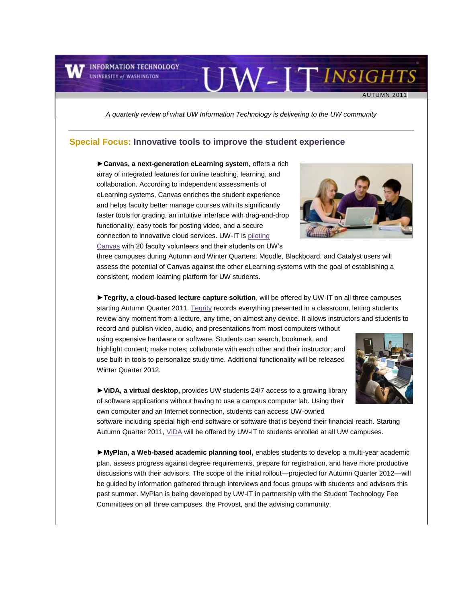**INFORMATION TECHNOLOGY UNIVERSITY of WASHINGTON** 

*A quarterly review of what UW Information Technology is delivering to the UW community*

#### **Special Focus: Innovative tools to improve the student experience**

**►Canvas, a next-generation eLearning system,** offers a rich array of integrated features for online teaching, learning, and collaboration. According to independent assessments of eLearning systems, Canvas enriches the student experience and helps faculty better manage courses with its significantly faster tools for grading, an intuitive interface with drag-and-drop functionality, easy tools for posting video, and a secure connection to innovative cloud services. UW-IT i[s piloting](http://engage.washington.edu/site/R?i=TBfRbVNI-d3ihaI3er0JiA)  [Canvas](http://engage.washington.edu/site/R?i=TBfRbVNI-d3ihaI3er0JiA) with 20 faculty volunteers and their students on UW's

three campuses during Autumn and Winter Quarters. Moodle, Blackboard, and Catalyst users will assess the potential of Canvas against the other eLearning systems with the goal of establishing a consistent, modern learning platform for UW students.

**►Tegrity, a cloud-based lecture capture solution**, will be offered by UW-IT on all three campuses starting Autumn Quarter 2011[. Tegrity](http://engage.washington.edu/site/R?i=L-2vbFR4hwpVjl7b_2XynQ) records everything presented in a classroom, letting students review any moment from a lecture, any time, on almost any device. It allows instructors and students to

record and publish video, audio, and presentations from most computers without using expensive hardware or software. Students can search, bookmark, and highlight content; make notes; collaborate with each other and their instructor; and use built-in tools to personalize study time. Additional functionality will be released Winter Quarter 2012.

**►ViDA, a virtual desktop,** provides UW students 24/7 access to a growing library of software applications without having to use a campus computer lab. Using their own computer and an Internet connection, students can access UW-owned

software including special high-end software or software that is beyond their financial reach. Starting Autumn Quarter 2011[, ViDA](http://engage.washington.edu/site/R?i=VQIz2HNGoAlFc7-SjZbQFA) will be offered by UW-IT to students enrolled at all UW campuses.

**►MyPlan, a Web-based academic planning tool,** enables students to develop a multi-year academic plan, assess progress against degree requirements, prepare for registration, and have more productive discussions with their advisors. The scope of the initial rollout—projected for Autumn Quarter 2012—will be guided by information gathered through interviews and focus groups with students and advisors this past summer. MyPlan is being developed by UW-IT in partnership with the Student Technology Fee Committees on all three campuses, the Provost, and the advising community.



UW-ITINSIGHTS

AUTUMN 2011



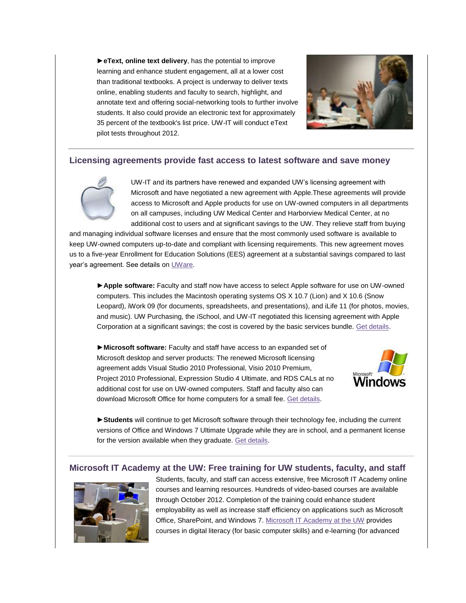**►eText, online text delivery**, has the potential to improve learning and enhance student engagement, all at a lower cost than traditional textbooks. A project is underway to deliver texts online, enabling students and faculty to search, highlight, and annotate text and offering social-networking tools to further involve students. It also could provide an electronic text for approximately 35 percent of the textbook's list price. UW-IT will conduct eText pilot tests throughout 2012.



### **Licensing agreements provide fast access to latest software and save money**



UW-IT and its partners have renewed and expanded UW's licensing agreement with Microsoft and have negotiated a new agreement with Apple.These agreements will provide access to Microsoft and Apple products for use on UW-owned computers in all departments on all campuses, including UW Medical Center and Harborview Medical Center, at no additional cost to users and at significant savings to the UW. They relieve staff from buying

and managing individual software licenses and ensure that the most commonly used software is available to keep UW-owned computers up-to-date and compliant with licensing requirements. This new agreement moves us to a five-year Enrollment for Education Solutions (EES) agreement at a substantial savings compared to last year's agreement. See details on [UWare.](http://engage.washington.edu/site/R?i=d6phI54EYiymL3u5aJF0qA)

►**Apple software:** Faculty and staff now have access to select Apple software for use on UW-owned computers. This includes the Macintosh operating systems OS X 10.7 (Lion) and X 10.6 (Snow Leopard), iWork 09 (for documents, spreadsheets, and presentations), and iLife 11 (for photos, movies, and music). UW Purchasing, the iSchool, and UW-IT negotiated this licensing agreement with Apple Corporation at a significant savings; the cost is covered by the basic services bundle. [Get details.](http://engage.washington.edu/site/R?i=9N--ehyKIxJTfJ4amFzR7g)

►**Microsoft software:** Faculty and staff have access to an expanded set of Microsoft desktop and server products: The renewed Microsoft licensing agreement adds Visual Studio 2010 Professional, Visio 2010 Premium, Project 2010 Professional, Expression Studio 4 Ultimate, and RDS CALs at no additional cost for use on UW-owned computers. Staff and faculty also can download Microsoft Office for home computers for a small fee. [Get details.](http://engage.washington.edu/site/R?i=NswQXvQZrT7xGBde5FGjZQ)



►**Students** will continue to get Microsoft software through their technology fee, including the current versions of Office and Windows 7 Ultimate Upgrade while they are in school, and a permanent license for the version available when they graduate. [Get details.](http://engage.washington.edu/site/R?i=9wptYaknQTEAGcUy_jbpvw)

### **Microsoft IT Academy at the UW: Free training for UW students, faculty, and staff**



Students, faculty, and staff can access extensive, free Microsoft IT Academy online courses and learning resources. Hundreds of video-based courses are available through October 2012. Completion of the training could enhance student employability as well as increase staff efficiency on applications such as Microsoft Office, SharePoint, and Windows 7. [Microsoft IT Academy at the UW](http://engage.washington.edu/site/R?i=4Q6QihwB0A6Sm31g12K_hg) provides courses in digital literacy (for basic computer skills) and e-learning (for advanced